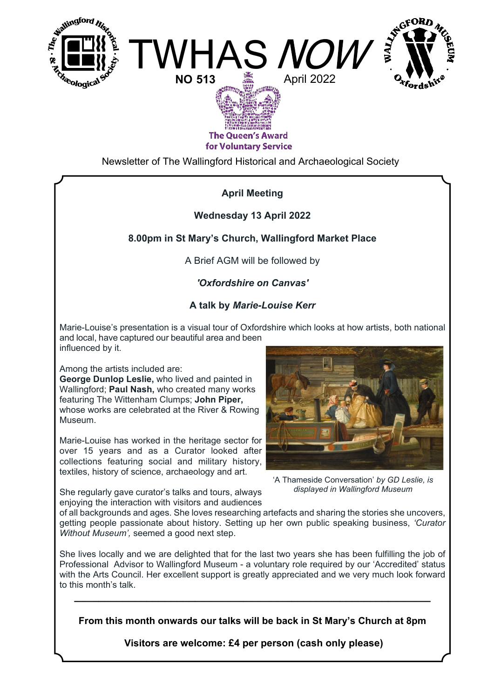





**The Oueen's Award** for Voluntary Service

Newsletter of The Wallingford Historical and Archaeological Society

# **April Meeting**

#### **Wednesday 13 April 2022**

## **8.00pm in St Mary's Church, Wallingford Market Place**

A Brief AGM will be followed by

## *'Oxfordshire on Canvas'*

## **A talk by** *Marie-Louise Kerr*

Marie-Louise's presentation is a visual tour of Oxfordshire which looks at how artists, both national and local, have captured our beautiful area and been influenced by it.

Among the artists included are:

**George Dunlop Leslie,** who lived and painted in Wallingford; **Paul Nash,** who created many works featuring The Wittenham Clumps; **John Piper,** whose works are celebrated at the River & Rowing Museum.

Marie-Louise has worked in the heritage sector for over 15 years and as a Curator looked after collections featuring social and military history, textiles, history of science, archaeology and art.

She regularly gave curator's talks and tours, always

*Without Museum',* seemed a good next step.



'A Thameside Conversation' *by GD Leslie, is displayed in Wallingford Museum*

enjoying the interaction with visitors and audiences of all backgrounds and ages. She loves researching artefacts and sharing the stories she uncovers, getting people passionate about history. Setting up her own public speaking business, *'Curator*

She lives locally and we are delighted that for the last two years she has been fulfilling the job of Professional Advisor to Wallingford Museum - a voluntary role required by our 'Accredited' status with the Arts Council. Her excellent support is greatly appreciated and we very much look forward to this month's talk.

**From this month onwards our talks will be back in St Mary's Church at 8pm**

**\_\_\_\_\_\_\_\_\_\_\_\_\_\_\_\_\_\_\_\_\_\_\_\_\_\_\_\_\_\_\_\_\_\_\_\_\_\_\_\_\_\_\_\_\_\_\_\_\_\_\_\_\_\_\_\_\_\_\_**

 **Visitors are welcome: £4 per person (cash only please)**